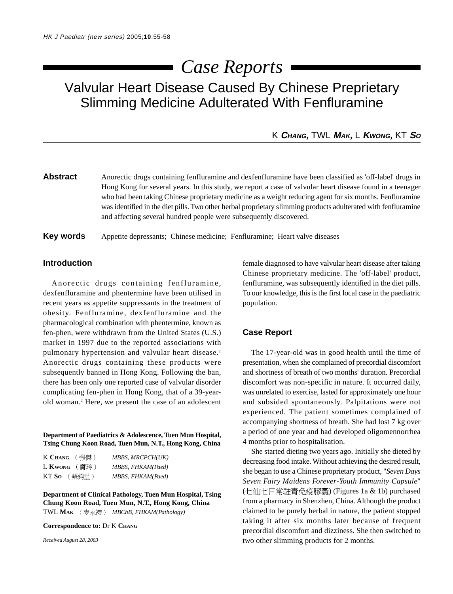# *Case Reports*

Valvular Heart Disease Caused By Chinese Preprietary Slimming Medicine Adulterated With Fenfluramine

K **CHANG,** TWL **MAK,** L **KWONG,** KT **S<sup>O</sup>**

**Abstract** Anorectic drugs containing fenfluramine and dexfenfluramine have been classified as 'off-label' drugs in Hong Kong for several years. In this study, we report a case of valvular heart disease found in a teenager who had been taking Chinese proprietary medicine as a weight reducing agent for six months. Fenfluramine was identified in the diet pills. Two other herbal proprietary slimming products adulterated with fenfluramine and affecting several hundred people were subsequently discovered.

**Key words** Appetite depressants; Chinese medicine; Fenfluramine; Heart valve diseases

### **Introduction**

Anorectic drugs containing fenfluramine, dexfenfluramine and phentermine have been utilised in recent years as appetite suppressants in the treatment of obesity. Fenfluramine, dexfenfluramine and the pharmacological combination with phentermine, known as fen-phen, were withdrawn from the United States (U.S.) market in 1997 due to the reported associations with pulmonary hypertension and valvular heart disease.<sup>1</sup> Anorectic drugs containing these products were subsequently banned in Hong Kong. Following the ban, there has been only one reported case of valvular disorder complicating fen-phen in Hong Kong, that of a 39-yearold woman.<sup>2</sup> Here, we present the case of an adolescent

**Department of Paediatrics & Adolescence, Tuen Mun Hospital, Tsing Chung Koon Road, Tuen Mun, N.T., Hong Kong, China**

| K Chang<br>(張傑)  | MBBS, MRCPCH(UK)  |
|------------------|-------------------|
| $L$ Kwong ( EEP) | MBBS, FHKAM(Paed) |
| KT So<br>(蘇鈞堂)   | MBBS, FHKAM(Paed) |

**Department of Clinical Pathology, Tuen Mun Hospital, Tsing Chung Koon Road, Tuen Mun, N.T., Hong Kong, China** TWL MAK (麥永禮) MBChB, FHKAM(Pathology)

**Correspondence to:** Dr K **CHANG**

*Received August 28, 2003*

female diagnosed to have valvular heart disease after taking Chinese proprietary medicine. The 'off-label' product, fenfluramine, was subsequently identified in the diet pills. To our knowledge, this is the first local case in the paediatric population.

#### **Case Report**

The 17-year-old was in good health until the time of presentation, when she complained of precordial discomfort and shortness of breath of two months' duration. Precordial discomfort was non-specific in nature. It occurred daily, was unrelated to exercise, lasted for approximately one hour and subsided spontaneously. Palpitations were not experienced. The patient sometimes complained of accompanying shortness of breath. She had lost 7 kg over a period of one year and had developed oligomennorrhea 4 months prior to hospitalisation.

She started dieting two years ago. Initially she dieted by decreasing food intake. Without achieving the desired result, she began to use a Chinese proprietary product, "*Seven Days Seven Fairy Maidens Forever-Youth Immunity Capsule*" (七仙七日常駐青免疫膠囊) (Figures 1a & 1b) purchased from a pharmacy in Shenzhen, China. Although the product claimed to be purely herbal in nature, the patient stopped taking it after six months later because of frequent precordial discomfort and dizziness. She then switched to two other slimming products for 2 months.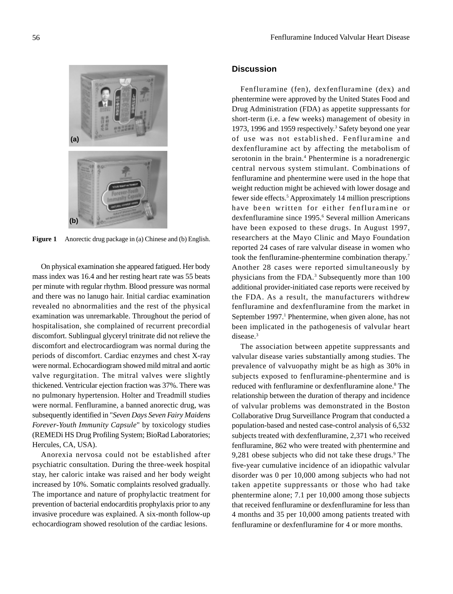

**Figure 1** Anorectic drug package in (a) Chinese and (b) English.

On physical examination she appeared fatigued. Her body mass index was 16.4 and her resting heart rate was 55 beats per minute with regular rhythm. Blood pressure was normal and there was no lanugo hair. Initial cardiac examination revealed no abnormalities and the rest of the physical examination was unremarkable. Throughout the period of hospitalisation, she complained of recurrent precordial discomfort. Sublingual glyceryl trinitrate did not relieve the discomfort and electrocardiogram was normal during the periods of discomfort. Cardiac enzymes and chest X-ray were normal. Echocardiogram showed mild mitral and aortic valve regurgitation. The mitral valves were slightly thickened. Ventricular ejection fraction was 37%. There was no pulmonary hypertension. Holter and Treadmill studies were normal. Fenfluramine, a banned anorectic drug, was subsequently identified in "*Seven Days Seven Fairy Maidens Forever-Youth Immunity Capsule*" by toxicology studies (REMEDi HS Drug Profiling System; BioRad Laboratories; Hercules, CA, USA).

Anorexia nervosa could not be established after psychiatric consultation. During the three-week hospital stay, her caloric intake was raised and her body weight increased by 10%. Somatic complaints resolved gradually. The importance and nature of prophylactic treatment for prevention of bacterial endocarditis prophylaxis prior to any invasive procedure was explained. A six-month follow-up echocardiogram showed resolution of the cardiac lesions.

## **Discussion**

Fenfluramine (fen), dexfenfluramine (dex) and phentermine were approved by the United States Food and Drug Administration (FDA) as appetite suppressants for short-term (i.e. a few weeks) management of obesity in 1973, 1996 and 1959 respectively.<sup>3</sup> Safety beyond one year of use was not established. Fenfluramine and dexfenfluramine act by affecting the metabolism of serotonin in the brain.<sup>4</sup> Phentermine is a noradrenergic central nervous system stimulant. Combinations of fenfluramine and phentermine were used in the hope that weight reduction might be achieved with lower dosage and fewer side effects.<sup>5</sup> Approximately 14 million prescriptions have been written for either fenfluramine or dexfenfluramine since 1995.<sup>6</sup> Several million Americans have been exposed to these drugs. In August 1997, researchers at the Mayo Clinic and Mayo Foundation reported 24 cases of rare valvular disease in women who took the fenfluramine-phentermine combination therapy.7 Another 28 cases were reported simultaneously by physicians from the FDA.<sup>3</sup> Subsequently more than 100 additional provider-initiated case reports were received by the FDA. As a result, the manufacturers withdrew fenfluramine and dexfenfluramine from the market in September 1997.<sup>1</sup> Phentermine, when given alone, has not been implicated in the pathogenesis of valvular heart disease.<sup>3</sup>

The association between appetite suppressants and valvular disease varies substantially among studies. The prevalence of valvuopathy might be as high as 30% in subjects exposed to fenfluramine-phentermine and is reduced with fenfluramine or dexfenfluramine alone.<sup>8</sup> The relationship between the duration of therapy and incidence of valvular problems was demonstrated in the Boston Collaborative Drug Surveillance Program that conducted a population-based and nested case-control analysis of 6,532 subjects treated with dexfenfluramine, 2,371 who received fenfluramine, 862 who were treated with phentermine and 9,281 obese subjects who did not take these drugs.<sup>9</sup> The five-year cumulative incidence of an idiopathic valvular disorder was 0 per 10,000 among subjects who had not taken appetite suppressants or those who had take phentermine alone; 7.1 per 10,000 among those subjects that received fenfluramine or dexfenfluramine for less than 4 months and 35 per 10,000 among patients treated with fenfluramine or dexfenfluramine for 4 or more months.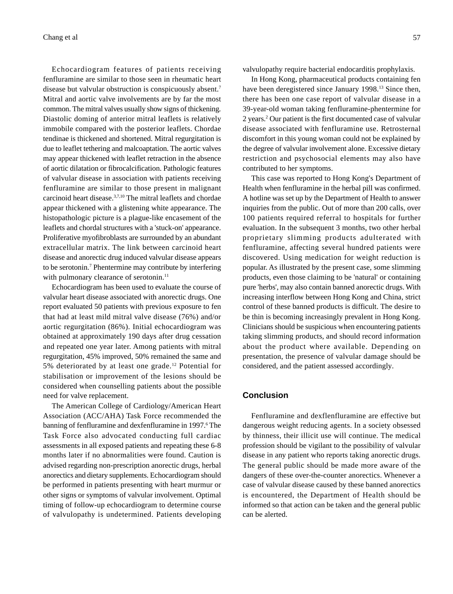Echocardiogram features of patients receiving fenfluramine are similar to those seen in rheumatic heart disease but valvular obstruction is conspicuously absent.7 Mitral and aortic valve involvements are by far the most common. The mitral valves usually show signs of thickening. Diastolic doming of anterior mitral leaflets is relatively immobile compared with the posterior leaflets. Chordae tendinae is thickened and shortened. Mitral regurgitation is due to leaflet tethering and malcoaptation. The aortic valves may appear thickened with leaflet retraction in the absence of aortic dilatation or fibrocalcification. Pathologic features of valvular disease in association with patients receiving fenfluramine are similar to those present in malignant carcinoid heart disease.3,7,10 The mitral leaflets and chordae appear thickened with a glistening white appearance. The histopathologic picture is a plague-like encasement of the leaflets and chordal structures with a 'stuck-on' appearance. Proliferative myofibroblasts are surrounded by an abundant extracellular matrix. The link between carcinoid heart disease and anorectic drug induced valvular disease appears to be serotonin.<sup>7</sup> Phentermine may contribute by interfering with pulmonary clearance of serotonin.<sup>11</sup>

Echocardiogram has been used to evaluate the course of valvular heart disease associated with anorectic drugs. One report evaluated 50 patients with previous exposure to fen that had at least mild mitral valve disease (76%) and/or aortic regurgitation (86%). Initial echocardiogram was obtained at approximately 190 days after drug cessation and repeated one year later. Among patients with mitral regurgitation, 45% improved, 50% remained the same and 5% deteriorated by at least one grade.12 Potential for stabilisation or improvement of the lesions should be considered when counselling patients about the possible need for valve replacement.

The American College of Cardiology/American Heart Association (ACC/AHA) Task Force recommended the banning of fenfluramine and dexfenfluramine in 1997.<sup>6</sup> The Task Force also advocated conducting full cardiac assessments in all exposed patients and repeating these 6-8 months later if no abnormalities were found. Caution is advised regarding non-prescription anorectic drugs, herbal anorectics and dietary supplements. Echocardiogram should be performed in patients presenting with heart murmur or other signs or symptoms of valvular involvement. Optimal timing of follow-up echocardiogram to determine course of valvulopathy is undetermined. Patients developing valvulopathy require bacterial endocarditis prophylaxis.

In Hong Kong, pharmaceutical products containing fen have been deregistered since January 1998.<sup>13</sup> Since then, there has been one case report of valvular disease in a 39-year-old woman taking fenfluramine-phentermine for 2 years.2 Our patient is the first documented case of valvular disease associated with fenfluramine use. Retrosternal discomfort in this young woman could not be explained by the degree of valvular involvement alone. Excessive dietary restriction and psychosocial elements may also have contributed to her symptoms.

This case was reported to Hong Kong's Department of Health when fenfluramine in the herbal pill was confirmed. A hotline was set up by the Department of Health to answer inquiries from the public. Out of more than 200 calls, over 100 patients required referral to hospitals for further evaluation. In the subsequent 3 months, two other herbal proprietary slimming products adulterated with fenfluramine, affecting several hundred patients were discovered. Using medication for weight reduction is popular. As illustrated by the present case, some slimming products, even those claiming to be 'natural' or containing pure 'herbs', may also contain banned anorectic drugs. With increasing interflow between Hong Kong and China, strict control of these banned products is difficult. The desire to be thin is becoming increasingly prevalent in Hong Kong. Clinicians should be suspicious when encountering patients taking slimming products, and should record information about the product where available. Depending on presentation, the presence of valvular damage should be considered, and the patient assessed accordingly.

# **Conclusion**

Fenfluramine and dexflenfluramine are effective but dangerous weight reducing agents. In a society obsessed by thinness, their illicit use will continue. The medical profession should be vigilant to the possibility of valvular disease in any patient who reports taking anorectic drugs. The general public should be made more aware of the dangers of these over-the-counter anorectics. Whenever a case of valvular disease caused by these banned anorectics is encountered, the Department of Health should be informed so that action can be taken and the general public can be alerted.